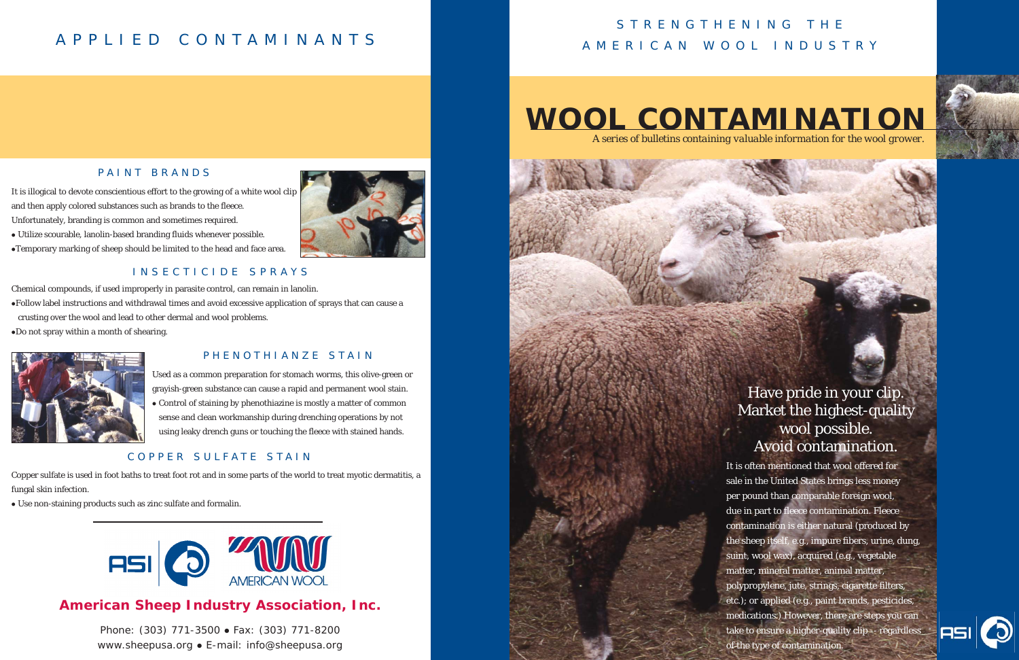Chemical compounds, if used improperly in parasite control, can remain in lanolin.

- <sup>z</sup>Follow label instructions and withdrawal times and avoid excessive application of sprays that can cause a crusting over the wool and lead to other dermal and wool problems.
- $\bullet$ Do not spray within a month of shearing.



# **WOOL CONTAMINATION**





# STRENGTHENING THE AMERICAN WOOL INDUSTRY

### **American Sheep Industry Association, Inc.**

Phone: (303) 771-3500 • Fax: (303) 771-8200 www.sheepusa.org • E-mail: info@sheepusa.org





- Utilize scourable, lanolin-based branding fluids whenever possible.
- <sup>z</sup>Temporary marking of sheep should be limited to the head and face area.

It is often mentioned that wool offered for sale in the United States brings less money per pound than comparable foreign wool, due in part to fleece contamination. Fleece contamination is either natural (produced by the sheep itself, e.g., impure fibers, urine, dung, suint, wool wax), acquired (e.g., vegetable matter, mineral matter, animal matter, polypropylene, jute, strings, cigarette filters, etc.); or applied (e.g., paint brands, pesticides, medications.) However, there are steps you can take to ensure a higher-quality clip -- regardless of the type of contamination.



# APPLIED CONTAMINANTS

### PAINT BRANDS

#### PHENOTHIANZE STAIN

#### COPPER SULFATE STAIN

### INSECTICIDE SPRAYS

It is illogical to devote conscientious effort to the growing of a white wool clip and then apply colored substances such as brands to the fleece. Unfortunately, branding is common and sometimes required.

> Used as a common preparation for stomach worms, this olive-green or grayish-green substance can cause a rapid and permanent wool stain. • Control of staining by phenothiazine is mostly a matter of common sense and clean workmanship during drenching operations by not using leaky drench guns or touching the fleece with stained hands.

Copper sulfate is used in foot baths to treat foot rot and in some parts of the world to treat myotic dermatitis, a fungal skin infection.

• Use non-staining products such as zinc sulfate and formalin.